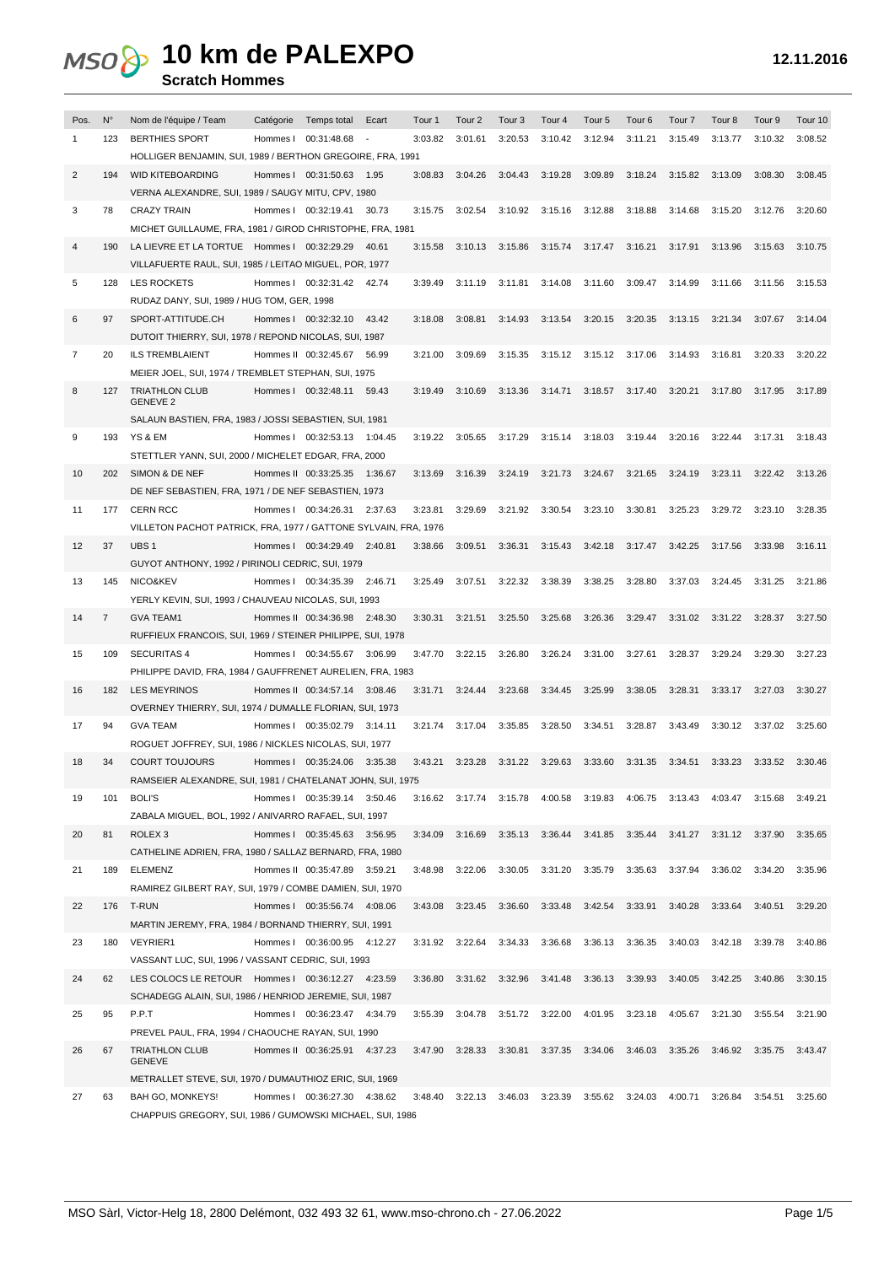#### **Scratch Hommes**

| Pos. | $N^{\circ}$    | Nom de l'équipe / Team                                          | Catégorie Temps total         | Ecart   | Tour 1  | Tour 2          | Tour 3                          | Tour 4                  | Tour 5  | Tour <sub>6</sub> | Tour <sub>7</sub> | Tour 8          | Tour 9          | Tour 10 |
|------|----------------|-----------------------------------------------------------------|-------------------------------|---------|---------|-----------------|---------------------------------|-------------------------|---------|-------------------|-------------------|-----------------|-----------------|---------|
|      | 123            | <b>BERTHIES SPORT</b>                                           | Hommes I 00:31:48.68          |         | 3:03.82 | 3:01.61         | 3:20.53                         | 3:10.42                 | 3:12.94 | 3:11.21           | 3:15.49           | 3:13.77         | 3:10.32         | 3:08.52 |
|      |                | HOLLIGER BENJAMIN, SUI, 1989 / BERTHON GREGOIRE, FRA, 1991      |                               |         |         |                 |                                 |                         |         |                   |                   |                 |                 |         |
| 2    | 194            | <b>WID KITEBOARDING</b>                                         | Hommes I 00:31:50.63          | 1.95    | 3:08.83 | 3:04.26         | 3:04.43                         | 3:19.28                 | 3:09.89 | 3:18.24           | 3:15.82           | 3:13.09         | 3:08.30         | 3:08.45 |
|      |                | VERNA ALEXANDRE, SUI, 1989 / SAUGY MITU, CPV, 1980              |                               |         |         |                 |                                 |                         |         |                   |                   |                 |                 |         |
| 3    | 78             | <b>CRAZY TRAIN</b>                                              | Hommes I 00:32:19.41          | 30.73   | 3:15.75 | 3:02.54         | 3:10.92                         | 3:15.16                 | 3:12.88 | 3:18.88           | 3:14.68           | 3:15.20         | 3:12.76         | 3:20.60 |
|      |                | MICHET GUILLAUME, FRA, 1981 / GIROD CHRISTOPHE, FRA, 1981       |                               |         |         |                 |                                 |                         |         |                   |                   |                 |                 |         |
| 4    | 190            | LA LIEVRE ET LA TORTUE Hommes   00:32:29.29                     |                               | 40.61   | 3:15.58 | 3:10.13         | 3:15.86                         | 3:15.74                 | 3:17.47 | 3:16.21           | 3:17.91           | 3:13.96         | 3:15.63         | 3:10.75 |
|      |                | VILLAFUERTE RAUL, SUI, 1985 / LEITAO MIGUEL, POR, 1977          |                               |         |         |                 |                                 |                         |         |                   |                   |                 |                 |         |
| 5    | 128            | <b>LES ROCKETS</b>                                              | Hommes   00:32:31.42          | 42.74   | 3:39.49 | 3:11.19         | 3:11.81                         | 3:14.08                 | 3:11.60 | 3:09.47           | 3:14.99           | 3:11.66         | 3:11.56         | 3:15.53 |
|      |                | RUDAZ DANY, SUI, 1989 / HUG TOM, GER, 1998                      |                               |         |         |                 |                                 |                         |         |                   |                   |                 |                 |         |
| 6    | 97             | SPORT-ATTITUDE.CH                                               |                               | 43.42   | 3:18.08 | 3:08.81         | 3:14.93                         | 3:13.54                 | 3:20.15 | 3:20.35           | 3:13.15           | 3:21.34         | 3:07.67         | 3:14.04 |
|      |                |                                                                 | Hommes I 00:32:32.10          |         |         |                 |                                 |                         |         |                   |                   |                 |                 |         |
|      |                | DUTOIT THIERRY, SUI, 1978 / REPOND NICOLAS, SUI, 1987           |                               |         |         |                 |                                 |                         |         |                   |                   |                 |                 |         |
| 7    | 20             | <b>ILS TREMBLAIENT</b>                                          | Hommes II 00:32:45.67         | 56.99   | 3:21.00 | 3:09.69         | 3:15.35                         | 3:15.12                 | 3:15.12 | 3:17.06           | 3:14.93           | 3:16.81         | 3:20.33         | 3:20.22 |
|      |                | MEIER JOEL, SUI, 1974 / TREMBLET STEPHAN, SUI, 1975             |                               |         |         |                 |                                 |                         |         |                   |                   |                 |                 |         |
| 8    | 127            | <b>TRIATHLON CLUB</b><br><b>GENEVE 2</b>                        | Hommes I 00:32:48.11          | 59.43   | 3:19.49 | 3:10.69         | 3:13.36                         | 3:14.71                 | 3:18.57 | 3:17.40           | 3:20.21           | 3:17.80         | 3:17.95         | 3:17.89 |
|      |                | SALAUN BASTIEN, FRA, 1983 / JOSSI SEBASTIEN, SUI, 1981          |                               |         |         |                 |                                 |                         |         |                   |                   |                 |                 |         |
| 9    | 193            | YS & EM                                                         | Hommes I 00:32:53.13 1:04.45  |         | 3:19.22 | 3:05.65         | 3:17.29                         | 3:15.14                 | 3:18.03 | 3:19.44           | 3:20.16           | 3:22.44         | 3:17.31         | 3:18.43 |
|      |                | STETTLER YANN, SUI, 2000 / MICHELET EDGAR, FRA, 2000            |                               |         |         |                 |                                 |                         |         |                   |                   |                 |                 |         |
| 10   | 202            | SIMON & DE NEF                                                  | Hommes II 00:33:25.35 1:36.67 |         | 3:13.69 | 3:16.39         | 3:24.19                         | 3:21.73                 | 3:24.67 | 3:21.65           | 3:24.19           | 3:23.11         | 3:22.42         | 3:13.26 |
|      |                | DE NEF SEBASTIEN, FRA, 1971 / DE NEF SEBASTIEN, 1973            |                               |         |         |                 |                                 |                         |         |                   |                   |                 |                 |         |
| 11   | 177            | <b>CERN RCC</b>                                                 | Hommes I 00:34:26.31 2:37.63  |         | 3:23.81 | 3:29.69         | 3:21.92                         | 3:30.54                 | 3:23.10 | 3:30.81           | 3:25.23           | 3:29.72         | 3:23.10         | 3:28.35 |
|      |                | VILLETON PACHOT PATRICK, FRA, 1977 / GATTONE SYLVAIN, FRA, 1976 |                               |         |         |                 |                                 |                         |         |                   |                   |                 |                 |         |
| 12   | 37             | UBS <sub>1</sub>                                                | Hommes I 00:34:29.49 2:40.81  |         | 3:38.66 | 3:09.51         | 3:36.31                         | 3:15.43                 | 3:42.18 | 3:17.47           | 3:42.25           | 3:17.56         | 3:33.98         | 3:16.11 |
|      |                |                                                                 |                               |         |         |                 |                                 |                         |         |                   |                   |                 |                 |         |
|      |                | GUYOT ANTHONY, 1992 / PIRINOLI CEDRIC, SUI, 1979                |                               |         |         |                 |                                 |                         |         |                   |                   |                 |                 |         |
| 13   | 145            | NICO&KEV                                                        | Hommes I 00:34:35.39 2:46.71  |         | 3:25.49 | 3:07.51         | 3:22.32                         | 3:38.39                 | 3:38.25 | 3:28.80           | 3:37.03           | 3:24.45         | 3:31.25         | 3:21.86 |
|      |                | YERLY KEVIN, SUI, 1993 / CHAUVEAU NICOLAS, SUI, 1993            |                               |         |         |                 |                                 |                         |         |                   |                   |                 |                 |         |
| 14   | $\overline{7}$ | <b>GVA TEAM1</b>                                                | Hommes II 00:34:36.98 2:48.30 |         | 3:30.31 | 3:21.51         | 3:25.50                         | 3:25.68                 | 3:26.36 | 3:29.47           | 3:31.02           | 3:31.22         | 3:28.37         | 3:27.50 |
|      |                | RUFFIEUX FRANCOIS, SUI, 1969 / STEINER PHILIPPE, SUI, 1978      |                               |         |         |                 |                                 |                         |         |                   |                   |                 |                 |         |
| 15   | 109            | <b>SECURITAS 4</b>                                              | Hommes I 00:34:55.67          | 3:06.99 | 3:47.70 | 3:22.15         | 3:26.80                         | 3:26.24                 | 3:31.00 | 3:27.61           | 3:28.37           | 3:29.24         | 3:29.30         | 3:27.23 |
|      |                | PHILIPPE DAVID, FRA, 1984 / GAUFFRENET AURELIEN, FRA, 1983      |                               |         |         |                 |                                 |                         |         |                   |                   |                 |                 |         |
| 16   | 182            | <b>LES MEYRINOS</b>                                             | Hommes II 00:34:57.14 3:08.46 |         | 3:31.71 | 3:24.44         | 3:23.68                         | 3:34.45                 | 3:25.99 | 3:38.05           | 3:28.31           | 3:33.17         | 3:27.03         | 3:30.27 |
|      |                | OVERNEY THIERRY, SUI, 1974 / DUMALLE FLORIAN, SUI, 1973         |                               |         |         |                 |                                 |                         |         |                   |                   |                 |                 |         |
| 17   | 94             | <b>GVA TEAM</b>                                                 | Hommes I 00:35:02.79 3:14.11  |         | 3:21.74 | 3:17.04         | 3:35.85                         | 3:28.50                 | 3:34.51 | 3:28.87           | 3:43.49           | 3:30.12         | 3:37.02         | 3:25.60 |
|      |                | ROGUET JOFFREY, SUI, 1986 / NICKLES NICOLAS, SUI, 1977          |                               |         |         |                 |                                 |                         |         |                   |                   |                 |                 |         |
| 18   | 34             | <b>COURT TOUJOURS</b>                                           | Hommes I 00:35:24.06 3:35.38  |         | 3:43.21 | 3:23.28         | 3:31.22                         | 3:29.63                 | 3:33.60 | 3:31.35           | 3:34.51           | 3:33.23         | 3:33.52         | 3:30.46 |
|      |                | RAMSEIER ALEXANDRE, SUI, 1981 / CHATELANAT JOHN, SUI, 1975      |                               |         |         |                 |                                 |                         |         |                   |                   |                 |                 |         |
| 19   | 101            | <b>BOLI'S</b>                                                   | Hommes I 00:35:39.14          | 3:50.46 | 3:16.62 | 3:17.74         |                                 | 3:15.78 4:00.58         | 3:19.83 | 4:06.75           | 3:13.43           | 4:03.47 3:15.68 |                 | 3:49.21 |
|      |                | ZABALA MIGUEL, BOL, 1992 / ANIVARRO RAFAEL, SUI, 1997           |                               |         |         |                 |                                 |                         |         |                   |                   |                 |                 |         |
| 20   | 81             | ROLEX <sub>3</sub>                                              | Hommes I 00:35:45.63 3:56.95  |         | 3:34.09 | 3:16.69         |                                 | 3:35.13 3:36.44 3:41.85 |         | 3:35.44           | 3:41.27           |                 | 3:31.12 3:37.90 | 3:35.65 |
|      |                | CATHELINE ADRIEN, FRA, 1980 / SALLAZ BERNARD, FRA, 1980         |                               |         |         |                 |                                 |                         |         |                   |                   |                 |                 |         |
| 21   | 189            | <b>ELEMENZ</b>                                                  | Hommes II 00:35:47.89 3:59.21 |         | 3:48.98 | 3:22.06         | 3:30.05                         | 3:31.20                 | 3:35.79 | 3:35.63           | 3:37.94           | 3:36.02         | 3:34.20         | 3:35.96 |
|      |                | RAMIREZ GILBERT RAY, SUI, 1979 / COMBE DAMIEN, SUI, 1970        |                               |         |         |                 |                                 |                         |         |                   |                   |                 |                 |         |
| 22   | 176            | T-RUN                                                           | Hommes I 00:35:56.74 4:08.06  |         | 3:43.08 | 3:23.45 3:36.60 |                                 | 3:33.48                 | 3:42.54 | 3:33.91           | 3:40.28           | 3:33.64         | 3:40.51         | 3:29.20 |
|      |                | MARTIN JEREMY, FRA, 1984 / BORNAND THIERRY, SUI, 1991           |                               |         |         |                 |                                 |                         |         |                   |                   |                 |                 |         |
| 23   | 180            | <b>VEYRIER1</b>                                                 | Hommes I 00:36:00.95 4:12.27  |         |         | 3:31.92 3:22.64 |                                 | 3:34.33 3:36.68         | 3:36.13 | 3:36.35           | 3:40.03           | 3:42.18         | 3:39.78         | 3:40.86 |
|      |                | VASSANT LUC, SUI, 1996 / VASSANT CEDRIC, SUI, 1993              |                               |         |         |                 |                                 |                         |         |                   |                   |                 |                 |         |
| 24   | 62             | LES COLOCS LE RETOUR Hommes   00:36:12.27 4:23.59               |                               |         | 3:36.80 |                 | 3:31.62 3:32.96 3:41.48         |                         | 3:36.13 | 3:39.93           | 3:40.05           | 3:42.25         | 3:40.86         | 3:30.15 |
|      |                | SCHADEGG ALAIN, SUI, 1986 / HENRIOD JEREMIE, SUI, 1987          |                               |         |         |                 |                                 |                         |         |                   |                   |                 |                 |         |
| 25   | 95             | P.P.T                                                           | Hommes I 00:36:23.47 4:34.79  |         | 3:55.39 | 3:04.78         |                                 | 3:51.72 3:22.00         | 4:01.95 | 3:23.18           | 4:05.67           | 3:21.30         | 3:55.54         | 3:21.90 |
|      |                | PREVEL PAUL, FRA, 1994 / CHAOUCHE RAYAN, SUI, 1990              |                               |         |         |                 |                                 |                         |         |                   |                   |                 |                 |         |
| 26   | 67             | <b>TRIATHLON CLUB</b>                                           | Hommes II 00:36:25.91 4:37.23 |         | 3:47.90 |                 | 3:28.33 3:30.81 3:37.35 3:34.06 |                         |         | 3:46.03           | 3:35.26           | 3:46.92         | 3:35.75         | 3:43.47 |
|      |                | <b>GENEVE</b>                                                   |                               |         |         |                 |                                 |                         |         |                   |                   |                 |                 |         |
|      |                | METRALLET STEVE, SUI, 1970 / DUMAUTHIOZ ERIC, SUI, 1969         |                               |         |         |                 |                                 |                         |         |                   |                   |                 |                 |         |
| 27   | 63             | BAH GO, MONKEYS!                                                | Hommes I 00:36:27.30 4:38.62  |         |         |                 | 3:48.40 3:22.13 3:46.03 3:23.39 |                         |         | 3:55.62 3:24.03   | 4:00.71           | 3:26.84         | 3:54.51         | 3:25.60 |
|      |                | CHAPPUIS GREGORY, SUI, 1986 / GUMOWSKI MICHAEL, SUI, 1986       |                               |         |         |                 |                                 |                         |         |                   |                   |                 |                 |         |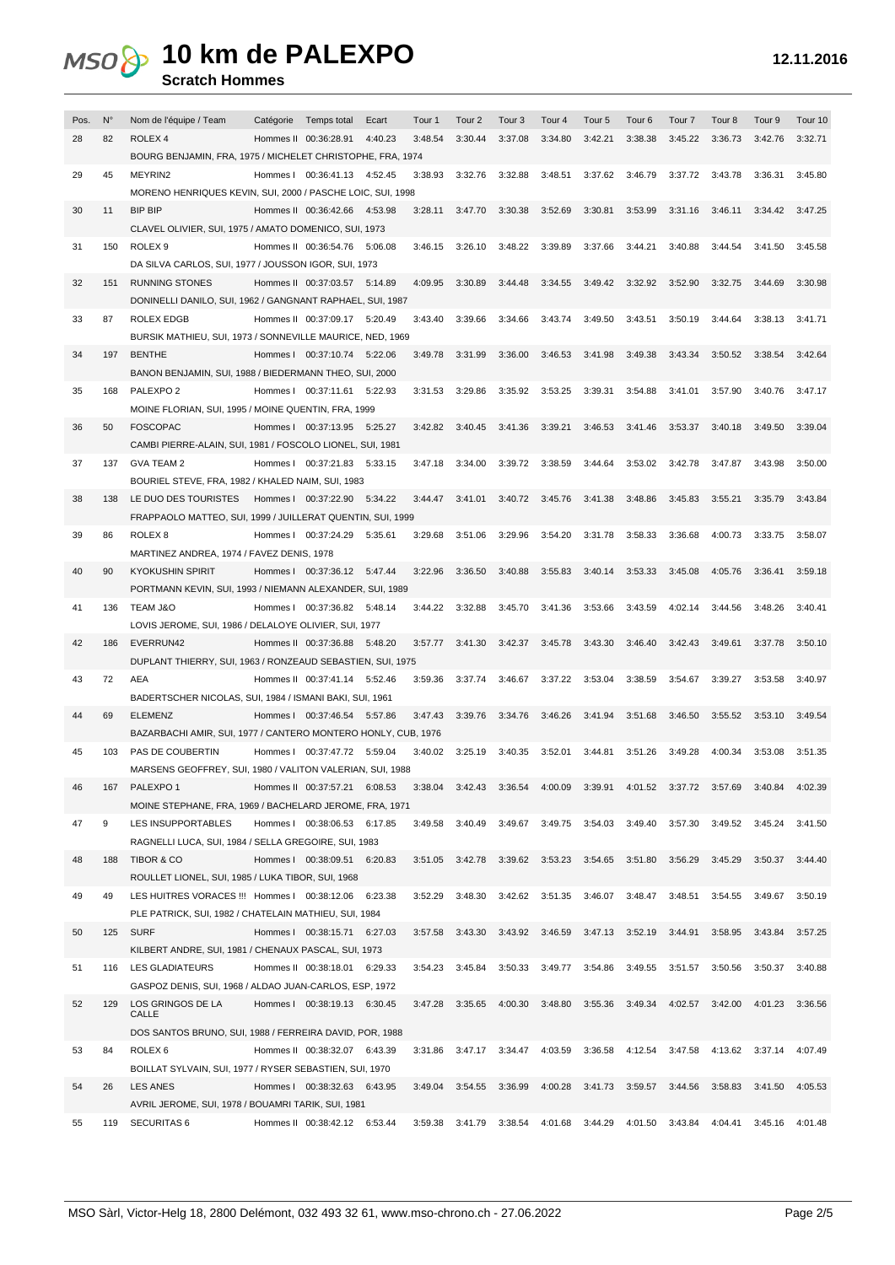#### **Scratch Hommes**

| Pos. | $N^{\circ}$ | Nom de l'équipe / Team                                        | Catégorie Temps total         | Ecart   | Tour 1  | Tour <sub>2</sub> | Tour <sub>3</sub> | Tour 4                  | Tour 5  | Tour <sub>6</sub> | Tour <sub>7</sub> | Tour 8  | Tour 9          | Tour 10 |
|------|-------------|---------------------------------------------------------------|-------------------------------|---------|---------|-------------------|-------------------|-------------------------|---------|-------------------|-------------------|---------|-----------------|---------|
| 28   | 82          | ROLEX <sub>4</sub>                                            | Hommes II 00:36:28.91         | 4:40.23 | 3:48.54 | 3:30.44           | 3:37.08           | 3:34.80                 | 3:42.21 | 3:38.38           | 3:45.22           | 3:36.73 | 3:42.76         | 3:32.71 |
|      |             | BOURG BENJAMIN, FRA, 1975 / MICHELET CHRISTOPHE, FRA, 1974    |                               |         |         |                   |                   |                         |         |                   |                   |         |                 |         |
| 29   | 45          | MEYRIN2                                                       | Hommes I 00:36:41.13 4:52.45  |         | 3:38.93 | 3:32.76           | 3:32.88           | 3:48.51                 | 3:37.62 | 3:46.79           | 3:37.72           | 3:43.78 | 3:36.31         | 3:45.80 |
|      |             | MORENO HENRIQUES KEVIN, SUI, 2000 / PASCHE LOIC, SUI, 1998    |                               |         |         |                   |                   |                         |         |                   |                   |         |                 |         |
|      |             | <b>BIP BIP</b>                                                |                               |         |         | 3:47.70           |                   | 3:52.69                 | 3:30.81 |                   | 3:31.16           |         | 3:34.42 3:47.25 |         |
| 30   | 11          |                                                               | Hommes II 00:36:42.66 4:53.98 |         | 3:28.11 |                   | 3:30.38           |                         |         | 3:53.99           |                   | 3:46.11 |                 |         |
|      |             | CLAVEL OLIVIER, SUI, 1975 / AMATO DOMENICO, SUI, 1973         |                               |         |         |                   |                   |                         |         |                   |                   |         |                 |         |
| 31   | 150         | ROLEX <sub>9</sub>                                            | Hommes II 00:36:54.76 5:06.08 |         | 3:46.15 | 3:26.10           | 3:48.22           | 3:39.89                 | 3:37.66 | 3:44.21           | 3:40.88           | 3:44.54 | 3:41.50         | 3:45.58 |
|      |             | DA SILVA CARLOS, SUI, 1977 / JOUSSON IGOR, SUI, 1973          |                               |         |         |                   |                   |                         |         |                   |                   |         |                 |         |
| 32   | 151         | <b>RUNNING STONES</b>                                         | Hommes II 00:37:03.57 5:14.89 |         | 4:09.95 | 3:30.89           | 3:44.48           | 3:34.55                 | 3:49.42 | 3:32.92           | 3:52.90           | 3:32.75 | 3:44.69         | 3:30.98 |
|      |             | DONINELLI DANILO, SUI, 1962 / GANGNANT RAPHAEL, SUI, 1987     |                               |         |         |                   |                   |                         |         |                   |                   |         |                 |         |
| 33   | 87          | ROLEX EDGB                                                    | Hommes II 00:37:09.17 5:20.49 |         | 3:43.40 | 3:39.66           | 3:34.66           | 3:43.74                 | 3:49.50 | 3:43.51           | 3:50.19           | 3:44.64 | 3:38.13         | 3:41.71 |
|      |             | BURSIK MATHIEU, SUI, 1973 / SONNEVILLE MAURICE, NED, 1969     |                               |         |         |                   |                   |                         |         |                   |                   |         |                 |         |
| 34   | 197         | <b>BENTHE</b>                                                 | Hommes I 00:37:10.74 5:22.06  |         | 3:49.78 | 3:31.99           | 3:36.00           | 3:46.53                 | 3:41.98 | 3:49.38           | 3:43.34           | 3:50.52 | 3:38.54         | 3:42.64 |
|      |             | BANON BENJAMIN, SUI, 1988 / BIEDERMANN THEO, SUI, 2000        |                               |         |         |                   |                   |                         |         |                   |                   |         |                 |         |
| 35   | 168         | PALEXPO <sub>2</sub>                                          | Hommes   00:37:11.61 5:22.93  |         | 3:31.53 | 3:29.86           | 3:35.92           | 3:53.25                 | 3:39.31 | 3:54.88           | 3:41.01           | 3:57.90 | 3:40.76         | 3:47.17 |
|      |             | MOINE FLORIAN, SUI, 1995 / MOINE QUENTIN, FRA, 1999           |                               |         |         |                   |                   |                         |         |                   |                   |         |                 |         |
| 36   | 50          | <b>FOSCOPAC</b>                                               | Hommes I 00:37:13.95 5:25.27  |         | 3:42.82 | 3:40.45           | 3:41.36           | 3:39.21                 | 3:46.53 | 3:41.46           | 3:53.37           | 3:40.18 | 3:49.50         | 3:39.04 |
|      |             | CAMBI PIERRE-ALAIN, SUI, 1981 / FOSCOLO LIONEL, SUI, 1981     |                               |         |         |                   |                   |                         |         |                   |                   |         |                 |         |
| 37   | 137         | <b>GVA TEAM 2</b>                                             | Hommes   00:37:21.83 5:33.15  |         | 3:47.18 | 3:34.00           | 3:39.72           | 3:38.59                 | 3:44.64 | 3:53.02           | 3:42.78           | 3:47.87 | 3:43.98         | 3:50.00 |
|      |             | BOURIEL STEVE, FRA, 1982 / KHALED NAIM, SUI, 1983             |                               |         |         |                   |                   |                         |         |                   |                   |         |                 |         |
| 38   | 138         | LE DUO DES TOURISTES                                          | Hommes   00:37:22.90 5:34.22  |         |         | 3:44.47 3:41.01   |                   | 3:40.72 3:45.76 3:41.38 |         | 3:48.86           | 3:45.83           | 3:55.21 | 3:35.79         | 3:43.84 |
|      |             |                                                               |                               |         |         |                   |                   |                         |         |                   |                   |         |                 |         |
|      |             | FRAPPAOLO MATTEO, SUI, 1999 / JUILLERAT QUENTIN, SUI, 1999    |                               |         |         |                   |                   |                         |         |                   |                   |         |                 |         |
| 39   | 86          | ROLEX <sub>8</sub>                                            | Hommes I 00:37:24.29          | 5:35.61 | 3:29.68 | 3:51.06           | 3:29.96           | 3:54.20                 | 3:31.78 | 3:58.33           | 3:36.68           | 4:00.73 | 3:33.75         | 3:58.07 |
|      |             | MARTINEZ ANDREA, 1974 / FAVEZ DENIS, 1978                     |                               |         |         |                   |                   |                         |         |                   |                   |         |                 |         |
| 40   | 90          | <b>KYOKUSHIN SPIRIT</b>                                       | Hommes I 00:37:36.12 5:47.44  |         | 3:22.96 | 3:36.50           | 3:40.88           | 3:55.83                 | 3:40.14 | 3:53.33           | 3:45.08           | 4:05.76 | 3:36.41         | 3:59.18 |
|      |             | PORTMANN KEVIN, SUI, 1993 / NIEMANN ALEXANDER, SUI, 1989      |                               |         |         |                   |                   |                         |         |                   |                   |         |                 |         |
| 41   | 136         | TEAM J&O                                                      | Hommes I 00:37:36.82 5:48.14  |         | 3:44.22 | 3:32.88           | 3:45.70           | 3:41.36                 | 3:53.66 | 3:43.59           | 4:02.14           | 3:44.56 | 3:48.26         | 3:40.41 |
|      |             | LOVIS JEROME, SUI, 1986 / DELALOYE OLIVIER, SUI, 1977         |                               |         |         |                   |                   |                         |         |                   |                   |         |                 |         |
| 42   | 186         | EVERRUN42                                                     | Hommes II 00:37:36.88 5:48.20 |         |         | 3:57.77 3:41.30   |                   | 3:42.37 3:45.78 3:43.30 |         | 3:46.40           | 3:42.43           | 3:49.61 | 3:37.78         | 3:50.10 |
|      |             | DUPLANT THIERRY, SUI, 1963 / RONZEAUD SEBASTIEN, SUI, 1975    |                               |         |         |                   |                   |                         |         |                   |                   |         |                 |         |
| 43   | 72          | AEA                                                           | Hommes II 00:37:41.14 5:52.46 |         | 3:59.36 | 3:37.74           | 3:46.67           | 3:37.22 3:53.04         |         | 3:38.59           | 3:54.67           | 3:39.27 | 3:53.58         | 3:40.97 |
|      |             | BADERTSCHER NICOLAS, SUI, 1984 / ISMANI BAKI, SUI, 1961       |                               |         |         |                   |                   |                         |         |                   |                   |         |                 |         |
| 44   | 69          | <b>ELEMENZ</b>                                                | Hommes   00:37:46.54 5:57.86  |         | 3:47.43 | 3:39.76           |                   | 3:34.76 3:46.26         | 3:41.94 | 3:51.68           | 3:46.50           |         | 3:55.52 3:53.10 | 3:49.54 |
|      |             | BAZARBACHI AMIR, SUI, 1977 / CANTERO MONTERO HONLY, CUB, 1976 |                               |         |         |                   |                   |                         |         |                   |                   |         |                 |         |
| 45   | 103         | PAS DE COUBERTIN                                              | Hommes I 00:37:47.72 5:59.04  |         | 3:40.02 | 3:25.19           | 3:40.35           | 3:52.01                 | 3:44.81 | 3:51.26           | 3:49.28           | 4:00.34 | 3:53.08         | 3:51.35 |
|      |             | MARSENS GEOFFREY, SUI, 1980 / VALITON VALERIAN, SUI, 1988     |                               |         |         |                   |                   |                         |         |                   |                   |         |                 |         |
| 46   | 167         | PALEXPO 1                                                     | Hommes II 00:37:57.21 6:08.53 |         | 3:38.04 | 3:42.43           |                   | 3:36.54 4:00.09 3:39.91 |         |                   | 4:01.52 3:37.72   | 3:57.69 | 3:40.84         | 4:02.39 |
|      |             | MOINE STEPHANE, FRA, 1969 / BACHELARD JEROME, FRA, 1971       |                               |         |         |                   |                   |                         |         |                   |                   |         |                 |         |
|      | 9           | LES INSUPPORTABLES                                            |                               |         |         |                   |                   | 3:49.75                 |         |                   | 3:57.30           | 3:49.52 | 3:45.24         | 3:41.50 |
| 47   |             |                                                               | Hommes I 00:38:06.53 6:17.85  |         | 3:49.58 | 3:40.49           | 3:49.67           |                         | 3:54.03 | 3:49.40           |                   |         |                 |         |
|      |             | RAGNELLI LUCA, SUI, 1984 / SELLA GREGOIRE, SUI, 1983          |                               |         |         |                   |                   |                         |         |                   |                   |         |                 |         |
| 48   | 188         | TIBOR & CO                                                    | Hommes I 00:38:09.51 6:20.83  |         | 3:51.05 | 3:42.78           | 3:39.62           | 3:53.23                 | 3:54.65 | 3:51.80           | 3:56.29           | 3:45.29 | 3:50.37         | 3:44.40 |
|      |             | ROULLET LIONEL, SUI, 1985 / LUKA TIBOR, SUI, 1968             |                               |         |         |                   |                   |                         |         |                   |                   |         |                 |         |
| 49   | 49          | LES HUITRES VORACES !!! Hommes   00:38:12.06 6:23.38          |                               |         | 3:52.29 | 3:48.30           | 3:42.62           | 3:51.35                 | 3:46.07 | 3:48.47           | 3:48.51           | 3:54.55 | 3:49.67         | 3:50.19 |
|      |             | PLE PATRICK, SUI, 1982 / CHATELAIN MATHIEU, SUI, 1984         |                               |         |         |                   |                   |                         |         |                   |                   |         |                 |         |
| 50   | 125         | <b>SURF</b>                                                   | Hommes I 00:38:15.71 6:27.03  |         | 3:57.58 | 3:43.30           | 3:43.92           | 3:46.59                 | 3:47.13 | 3:52.19           | 3:44.91           | 3:58.95 | 3:43.84         | 3:57.25 |
|      |             | KILBERT ANDRE, SUI, 1981 / CHENAUX PASCAL, SUI, 1973          |                               |         |         |                   |                   |                         |         |                   |                   |         |                 |         |
| 51   | 116         | <b>LES GLADIATEURS</b>                                        | Hommes II 00:38:18.01 6:29.33 |         | 3:54.23 | 3:45.84           | 3:50.33           | 3:49.77                 | 3:54.86 | 3:49.55           | 3:51.57           | 3:50.56 | 3:50.37         | 3:40.88 |
|      |             | GASPOZ DENIS, SUI, 1968 / ALDAO JUAN-CARLOS, ESP, 1972        |                               |         |         |                   |                   |                         |         |                   |                   |         |                 |         |
| 52   | 129         | LOS GRINGOS DE LA                                             | Hommes I 00:38:19.13 6:30.45  |         | 3:47.28 | 3:35.65           | 4:00.30           | 3:48.80                 | 3:55.36 | 3:49.34           | 4:02.57           | 3:42.00 | 4:01.23         | 3:36.56 |
|      |             | CALLE                                                         |                               |         |         |                   |                   |                         |         |                   |                   |         |                 |         |
|      |             | DOS SANTOS BRUNO, SUI, 1988 / FERREIRA DAVID, POR, 1988       |                               |         |         |                   |                   |                         |         |                   |                   |         |                 |         |
| 53   | 84          | ROLEX <sub>6</sub>                                            | Hommes II 00:38:32.07 6:43.39 |         | 3:31.86 | 3:47.17           | 3:34.47           | 4:03.59                 | 3:36.58 | 4:12.54           | 3:47.58           |         | 4:13.62 3:37.14 | 4:07.49 |
|      |             | BOILLAT SYLVAIN, SUI, 1977 / RYSER SEBASTIEN, SUI, 1970       |                               |         |         |                   |                   |                         |         |                   |                   |         |                 |         |
| 54   | 26          | <b>LES ANES</b>                                               | Hommes I 00:38:32.63 6:43.95  |         | 3:49.04 | 3:54.55           | 3:36.99           | 4:00.28                 | 3:41.73 | 3:59.57           | 3:44.56           | 3:58.83 | 3:41.50         | 4:05.53 |
|      |             | AVRIL JEROME, SUI, 1978 / BOUAMRI TARIK, SUI, 1981            |                               |         |         |                   |                   |                         |         |                   |                   |         |                 |         |
| 55   | 119         | <b>SECURITAS 6</b>                                            | Hommes II 00:38:42.12 6:53.44 |         | 3:59.38 | 3:41.79           | 3:38.54           | 4:01.68                 | 3:44.29 | 4:01.50           | 3:43.84           | 4:04.41 | 3:45.16         | 4:01.48 |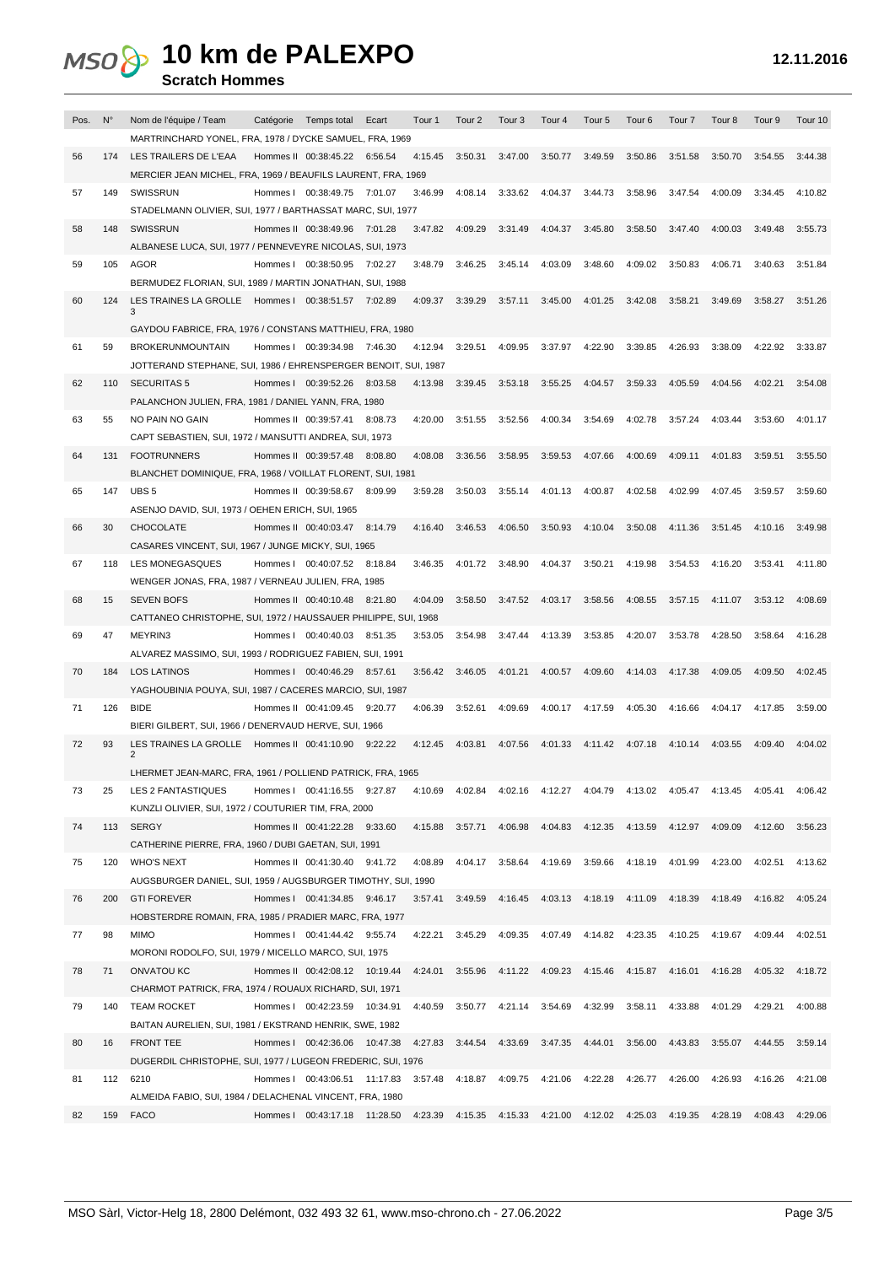**Scratch Hommes**

| Pos. | $N^{\circ}$ | Nom de l'équipe / Team<br>Catégorie Temps total<br>Ecart<br>Tour <sub>2</sub><br>Tour <sub>3</sub><br>Tour <sub>4</sub><br>Tour <sub>6</sub><br>Tour <sub>9</sub><br>Tour 10<br>Tour 1<br>Tour 5<br>Tour <sub>7</sub><br>Tour 8 |
|------|-------------|---------------------------------------------------------------------------------------------------------------------------------------------------------------------------------------------------------------------------------|
| 56   | 174         | MARTRINCHARD YONEL, FRA, 1978 / DYCKE SAMUEL, FRA, 1969<br>LES TRAILERS DE L'EAA<br>Hommes II 00:38:45.22 6:56.54<br>4:15.45<br>3:50.31<br>3:47.00<br>3:50.77<br>3:49.59<br>3:50.86<br>3:51.58<br>3:50.70<br>3:54.55<br>3:44.38 |
|      |             | MERCIER JEAN MICHEL, FRA, 1969 / BEAUFILS LAURENT, FRA, 1969                                                                                                                                                                    |
| 57   | 149         | SWISSRUN<br>Hommes I 00:38:49.75 7:01.07<br>3:46.99<br>4:08.14<br>3:33.62<br>4:04.37<br>3:44.73<br>3:58.96<br>3:47.54<br>4:00.09<br>3:34.45<br>4:10.82                                                                          |
|      |             | STADELMANN OLIVIER, SUI, 1977 / BARTHASSAT MARC, SUI, 1977                                                                                                                                                                      |
| 58   | 148         | SWISSRUN<br>Hommes II 00:38:49.96 7:01.28<br>3:47.82<br>4:09.29<br>3:31.49<br>4:04.37<br>3:45.80<br>3:58.50<br>3:47.40<br>4:00.03<br>3:49.48<br>3:55.73<br>ALBANESE LUCA, SUI, 1977 / PENNEVEYRE NICOLAS, SUI, 1973             |
| 59   | 105         | <b>AGOR</b><br>Hommes I 00:38:50.95 7:02.27<br>3:48.79<br>3:46.25<br>3:45.14<br>4:03.09<br>3:48.60<br>4:09.02<br>3:50.83<br>4:06.71<br>3:40.63<br>3:51.84                                                                       |
|      |             | BERMUDEZ FLORIAN, SUI, 1989 / MARTIN JONATHAN, SUI, 1988                                                                                                                                                                        |
| 60   | 124         | LES TRAINES LA GROLLE Hommes   00:38:51.57 7:02.89<br>4:09.37<br>3:39.29<br>3:57.11<br>3:45.00<br>4:01.25<br>3:42.08<br>3:58.21<br>3:49.69<br>3:58.27<br>3:51.26<br>3                                                           |
|      |             | GAYDOU FABRICE, FRA, 1976 / CONSTANS MATTHIEU, FRA, 1980                                                                                                                                                                        |
| 61   | 59          | <b>BROKERUNMOUNTAIN</b><br>Hommes I 00:39:34.98 7:46.30<br>4:12.94<br>3:29.51<br>4:09.95<br>3:37.97<br>4:22.90<br>3:39.85<br>4:26.93<br>3:38.09<br>4:22.92<br>3:33.87                                                           |
|      |             | JOTTERAND STEPHANE, SUI, 1986 / EHRENSPERGER BENOIT, SUI, 1987                                                                                                                                                                  |
| 62   | 110         | 3:59.33<br>4:05.59<br><b>SECURITAS 5</b><br>Hommes I 00:39:52.26 8:03.58<br>4:13.98<br>3:39.45<br>3:53.18<br>3:55.25<br>4:04.57<br>4:04.56<br>4:02.21<br>3:54.08                                                                |
| 63   | 55          | PALANCHON JULIEN, FRA, 1981 / DANIEL YANN, FRA, 1980<br>4:00.34<br>4:02.78<br>NO PAIN NO GAIN<br>Hommes II 00:39:57.41 8:08.73<br>4:20.00<br>3:51.55<br>3:52.56<br>3:54.69<br>3:57.24<br>4:03.44<br>3:53.60<br>4:01.17          |
|      |             | CAPT SEBASTIEN, SUI, 1972 / MANSUTTI ANDREA, SUI, 1973                                                                                                                                                                          |
| 64   | 131         | <b>FOOTRUNNERS</b><br>4:08.08<br>3:58.95<br>3:59.53<br>4:07.66<br>4:00.69<br>4:09.11<br>4:01.83<br>Hommes II 00:39:57.48 8:08.80<br>3:36.56<br>3:59.51<br>3:55.50                                                               |
|      |             | BLANCHET DOMINIQUE, FRA, 1968 / VOILLAT FLORENT, SUI, 1981                                                                                                                                                                      |
| 65   | 147         | UBS <sub>5</sub><br>Hommes II 00:39:58.67 8:09.99<br>3:59.28<br>3:50.03<br>3:55.14<br>4:01.13<br>4:00.87<br>4:02.58<br>4:02.99<br>4:07.45<br>3:59.57<br>3:59.60                                                                 |
| 66   | 30          | ASENJO DAVID, SUI, 1973 / OEHEN ERICH, SUI, 1965<br><b>CHOCOLATE</b><br>3:46.53<br>4:06.50<br>3:50.93<br>4:10.04<br>3:50.08<br>4:11.36<br>Hommes II 00:40:03.47 8:14.79<br>4:16.40<br>3:51.45 4:10.16<br>3:49.98                |
|      |             | CASARES VINCENT, SUI, 1967 / JUNGE MICKY, SUI, 1965                                                                                                                                                                             |
| 67   | 118         | LES MONEGASQUES<br>Hommes I 00:40:07.52 8:18.84<br>3:46.35<br>4:01.72<br>3:48.90<br>4:04.37<br>3:50.21<br>4:19.98<br>3:54.53<br>4:16.20<br>3:53.41<br>4:11.80                                                                   |
|      |             | WENGER JONAS, FRA, 1987 / VERNEAU JULIEN, FRA, 1985                                                                                                                                                                             |
| 68   | 15          | <b>SEVEN BOFS</b><br>4:04.09<br>3:58.50<br>3:47.52<br>4:03.17<br>3:58.56<br>4:08.55<br>3:57.15<br>4:11.07<br>3:53.12<br>Hommes II 00:40:10.48 8:21.80<br>4:08.69                                                                |
|      |             | CATTANEO CHRISTOPHE, SUI, 1972 / HAUSSAUER PHILIPPE, SUI, 1968                                                                                                                                                                  |
| 69   | 47          | MEYRIN3<br>Hommes I 00:40:40.03 8:51.35<br>3:53.05<br>3:54.98<br>3:47.44<br>4:13.39<br>3:53.85<br>4:20.07<br>3:53.78<br>4:28.50<br>3:58.64<br>4:16.28<br>ALVAREZ MASSIMO, SUI, 1993 / RODRIGUEZ FABIEN, SUI, 1991               |
| 70   | 184         | 4:09.60<br><b>LOS LATINOS</b><br>Hommes I 00:40:46.29 8:57.61<br>3:56.42<br>3:46.05<br>4:01.21<br>4:00.57<br>4:14.03<br>4:17.38<br>4:09.05<br>4:09.50<br>4:02.45                                                                |
|      |             | YAGHOUBINIA POUYA, SUI, 1987 / CACERES MARCIO, SUI, 1987                                                                                                                                                                        |
| 71   | 126         | <b>BIDE</b><br>Hommes II 00:41:09.45<br>9:20.77<br>4:06.39<br>3:52.61<br>4:09.69<br>4:00.17<br>4:17.59<br>4:05.30<br>4:16.66<br>4:04.17<br>3:59.00<br>4:17.85                                                                   |
|      |             | BIERI GILBERT, SUI, 1966 / DENERVAUD HERVE, SUI, 1966                                                                                                                                                                           |
| 72   | 93          | LES TRAINES LA GROLLE Hommes II 00:41:10.90 9:22.22<br>4:12.45<br>4:03.81<br>4:07.56<br>4:01.33<br>4:11.42<br>4:07.18<br>4:10.14<br>4:03.55<br>4:09.40<br>4:04.02<br>2                                                          |
|      |             | LHERMET JEAN-MARC, FRA, 1961 / POLLIEND PATRICK, FRA, 1965                                                                                                                                                                      |
| 73   | 25          | LES 2 FANTASTIQUES<br>Hommes   00:41:16.55 9:27.87<br>4:10.69 4:02.84 4:02.16 4:12.27 4:04.79 4:13.02 4:05.47 4:13.45 4:05.41<br>4:06.42                                                                                        |
|      |             | KUNZLI OLIVIER, SUI, 1972 / COUTURIER TIM, FRA, 2000                                                                                                                                                                            |
| 74   | 113         | 4:15.88 3:57.71 4:06.98 4:04.83 4:12.35<br>4:13.59  4:12.97  4:09.09  4:12.60<br>SERGY<br>Hommes II 00:41:22.28 9:33.60<br>3:56.23<br>CATHERINE PIERRE, FRA, 1960 / DUBI GAETAN, SUI, 1991                                      |
| 75   | 120         | 4:08.89  4:04.17  3:58.64  4:19.69<br>3:59.66<br>4:18.19 4:01.99<br>4:23.00 4:02.51<br><b>WHO'S NEXT</b><br>Hommes II 00:41:30.40 9:41.72<br>4:13.62                                                                            |
|      |             | AUGSBURGER DANIEL, SUI, 1959 / AUGSBURGER TIMOTHY, SUI, 1990                                                                                                                                                                    |
| 76   | 200         | 3:57.41 3:49.59 4:16.45 4:03.13 4:18.19<br>4:11.09<br>4:18.39  4:18.49<br><b>GTI FOREVER</b><br>Hommes I 00:41:34.85 9:46.17<br>4:16.82<br>4:05.24                                                                              |
|      |             | HOBSTERDRE ROMAIN, FRA, 1985 / PRADIER MARC, FRA, 1977                                                                                                                                                                          |
| 77   | 98          | <b>MIMO</b><br>Hommes I 00:41:44.42 9:55.74<br>4:22.21 3:45.29 4:09.35 4:07.49 4:14.82<br>4:23.35<br>4:10.25  4:19.67  4:09.44<br>4:02.51<br>MORONI RODOLFO, SUI, 1979 / MICELLO MARCO, SUI, 1975                               |
| 78   | 71          | Hommes II 00:42:08.12 10:19.44<br>4:24.01 3:55.96 4:11.22 4:09.23 4:15.46<br>4:15.87  4:16.01  4:16.28<br>4:05.32<br>ONVATOU KC<br>4:18.72                                                                                      |
|      |             | CHARMOT PATRICK, FRA, 1974 / ROUAUX RICHARD, SUI, 1971                                                                                                                                                                          |
| 79   | 140         | <b>TEAM ROCKET</b><br>Hommes I 00:42:23.59 10:34.91<br>4:40.59 3:50.77 4:21.14 3:54.69<br>4:32.99<br>3:58.11 4:33.88<br>4:01.29 4:29.21<br>4:00.88                                                                              |
|      |             | BAITAN AURELIEN, SUI, 1981 / EKSTRAND HENRIK, SWE, 1982                                                                                                                                                                         |
| 80   | 16          | Hommes   00:42:36.06 10:47.38 4:27.83 3:44.54 4:33.69 3:47.35 4:44.01 3:56.00 4:43.83 3:55.07 4:44.55 3:59.14<br><b>FRONT TEE</b>                                                                                               |
| 81   | 112         | DUGERDIL CHRISTOPHE, SUI, 1977 / LUGEON FREDERIC, SUI, 1976<br>Hommes   00:43:06.51 11:17.83 3:57.48 4:18.87 4:09.75 4:21.06 4:22.28 4:26.77 4:26.00 4:26.93 4:16.26 4:21.08<br>6210                                            |
|      |             | ALMEIDA FABIO, SUI, 1984 / DELACHENAL VINCENT, FRA, 1980                                                                                                                                                                        |
| 82   |             | Hommes   00:43:17.18 11:28.50 4:23.39 4:15.35 4:15.33 4:21.00 4:12.02 4:25.03 4:19.35 4:28.19 4:08.43 4:29.06<br>159 FACO                                                                                                       |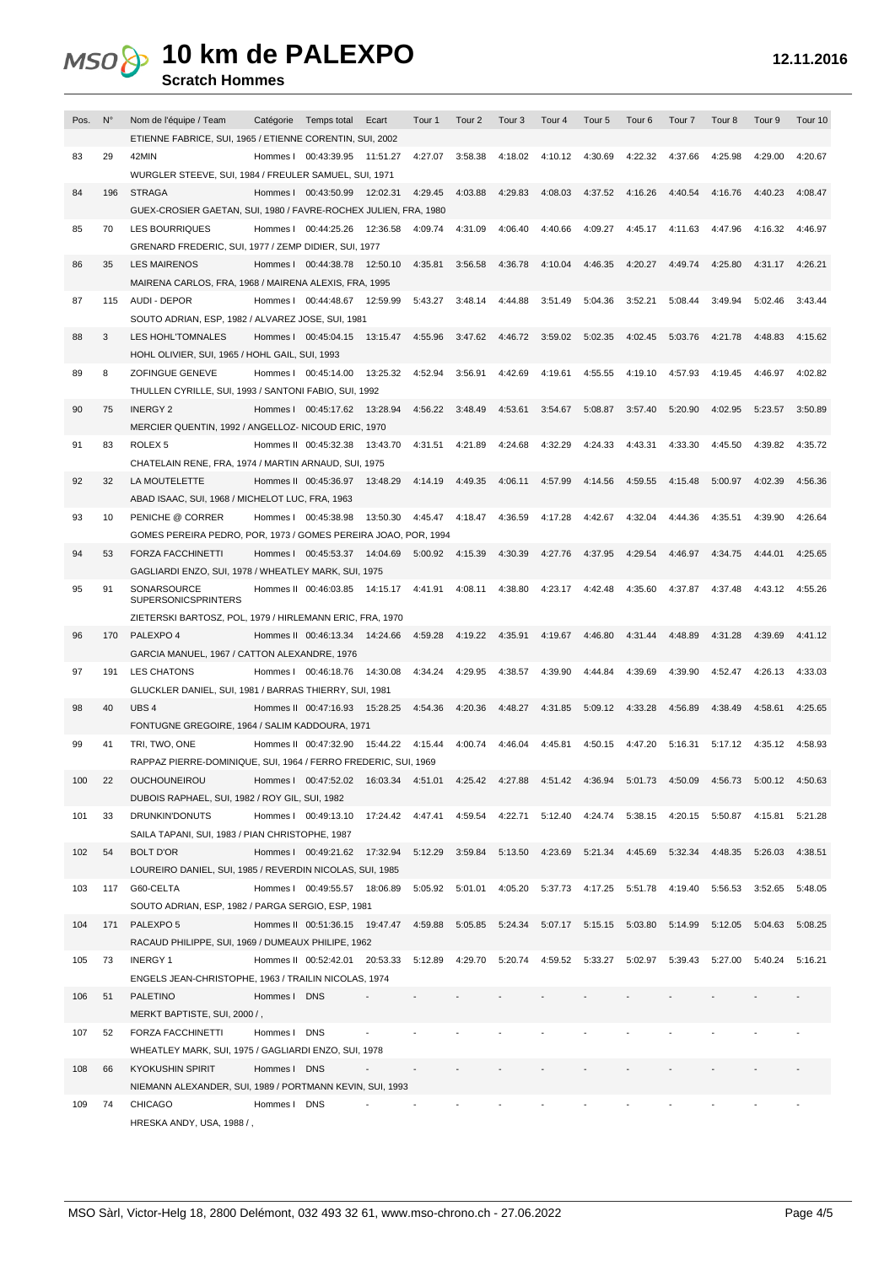| Pos. | N°  | Nom de l'équipe / Team<br>Catégorie Temps total<br>Ecart<br>Tour 1<br>Tour <sub>2</sub><br>Tour <sub>3</sub><br>Tour 4<br>Tour <sub>5</sub><br>Tour <sub>6</sub><br>Tour <sub>7</sub><br>Tour <sub>8</sub><br>Tour 9<br>Tour 10 |  |
|------|-----|---------------------------------------------------------------------------------------------------------------------------------------------------------------------------------------------------------------------------------|--|
|      |     | ETIENNE FABRICE, SUI, 1965 / ETIENNE CORENTIN, SUI, 2002                                                                                                                                                                        |  |
| 83   | 29  | 42MIN<br>Hommes I 00:43:39.95 11:51.27<br>4:27.07<br>3:58.38<br>4:18.02<br>4:10.12<br>4:30.69<br>4:22.32<br>4:37.66<br>4:25.98<br>4:29.00<br>4:20.67                                                                            |  |
|      |     | WURGLER STEEVE, SUI, 1984 / FREULER SAMUEL, SUI, 1971                                                                                                                                                                           |  |
| 84   | 196 | 4:29.83<br><b>STRAGA</b><br>Hommes I 00:43:50.99 12:02.31<br>4:29.45<br>4:03.88<br>4:08.03<br>4:37.52<br>4:16.26<br>4:40.54<br>4:16.76<br>4:40.23<br>4:08.47                                                                    |  |
|      |     | GUEX-CROSIER GAETAN, SUI, 1980 / FAVRE-ROCHEX JULIEN, FRA, 1980                                                                                                                                                                 |  |
| 85   | 70  | Hommes I 00:44:25.26<br>12:36.58<br>4:31.09<br>4:06.40<br>4:40.66<br>4:09.27<br>4:45.17 4:11.63<br>4:47.96<br><b>LES BOURRIQUES</b><br>4:09.74<br>4:16.32<br>4:46.97                                                            |  |
|      |     | GRENARD FREDERIC, SUI, 1977 / ZEMP DIDIER, SUI, 1977                                                                                                                                                                            |  |
| 86   | 35  | 4:35.81<br>3:56.58<br>4:36.78<br>4:10.04<br>4:46.35<br>4:20.27<br>4:49.74<br>4:25.80<br>4:31.17 4:26.21<br><b>LES MAIRENOS</b><br>Hommes I 00:44:38.78 12:50.10                                                                 |  |
|      |     | MAIRENA CARLOS, FRA, 1968 / MAIRENA ALEXIS, FRA, 1995                                                                                                                                                                           |  |
| 87   | 115 | 5:43.27<br>3:48.14<br>4:44.88<br>3:51.49<br>5:04.36<br>3:52.21<br>5:08.44<br>3:49.94<br>5:02.46<br>AUDI - DEPOR<br>Hommes I 00:44:48.67 12:59.99<br>3:43.44                                                                     |  |
|      |     | SOUTO ADRIAN, ESP, 1982 / ALVAREZ JOSE, SUI, 1981                                                                                                                                                                               |  |
| 88   | 3   | 4:55.96<br>3:47.62<br>4:46.72<br>3:59.02<br>5:02.35<br>4:02.45<br>5:03.76<br>4:21.78<br>4:48.83<br>LES HOHL'TOMNALES<br>Hommes 1 00:45:04.15 13:15.47<br>4:15.62                                                                |  |
|      |     | HOHL OLIVIER, SUI, 1965 / HOHL GAIL, SUI, 1993                                                                                                                                                                                  |  |
| 89   | 8   | 13:25.32<br>4:42.69<br>ZOFINGUE GENEVE<br>Hommes I 00:45:14.00<br>4:52.94<br>3:56.91<br>4:19.61<br>4:55.55<br>4:19.10<br>4:57.93<br>4:19.45<br>4:02.82<br>4:46.97                                                               |  |
|      |     | THULLEN CYRILLE, SUI, 1993 / SANTONI FABIO, SUI, 1992                                                                                                                                                                           |  |
| 90   | 75  | Hommes I 00:45:17.62 13:28.94<br>4:56.22<br>3:48.49<br>4:53.61<br>3:54.67<br>5:08.87<br>3:57.40<br>5:20.90<br>4:02.95<br>5:23.57<br>3:50.89<br><b>INERGY 2</b>                                                                  |  |
|      |     | MERCIER QUENTIN, 1992 / ANGELLOZ- NICOUD ERIC, 1970                                                                                                                                                                             |  |
| 91   | 83  | 4:31.51<br>4:21.89<br>4:24.68<br>4:32.29<br>4:24.33<br>4:43.31<br>4:33.30<br>ROLEX <sub>5</sub><br>Hommes II 00:45:32.38<br>13:43.70<br>4:45.50<br>4:39.82<br>4:35.72                                                           |  |
|      |     | CHATELAIN RENE, FRA, 1974 / MARTIN ARNAUD, SUI, 1975                                                                                                                                                                            |  |
|      | 32  | Hommes II 00:45:36.97 13:48.29<br>4:14.19<br>4:06.11<br>4:57.99<br>4:14.56<br>5:00.97<br>4:02.39<br>LA MOUTELETTE                                                                                                               |  |
| 92   |     | 4:49.35<br>4:59.55<br>4:15.48<br>4:56.36                                                                                                                                                                                        |  |
|      |     | ABAD ISAAC, SUI, 1968 / MICHELOT LUC, FRA, 1963                                                                                                                                                                                 |  |
| 93   | 10  | 4:36.59<br>4:17.28<br>4:32.04<br>PENICHE @ CORRER<br>Hommes I 00:45:38.98<br>13:50.30<br>4:45.47<br>4:18.47<br>4:42.67<br>4:44.36<br>4:35.51<br>4:39.90<br>4:26.64                                                              |  |
|      |     | GOMES PEREIRA PEDRO, POR, 1973 / GOMES PEREIRA JOAO, POR, 1994                                                                                                                                                                  |  |
| 94   | 53  | 4:30.39<br>4:29.54<br>5:00.92 4:15.39<br>4:27.76<br>4:37.95<br>4:46.97<br>4:34.75<br>4:25.65<br><b>FORZA FACCHINETTI</b><br>Hommes 1 00:45:53.37 14:04.69<br>4:44.01                                                            |  |
|      |     | GAGLIARDI ENZO, SUI, 1978 / WHEATLEY MARK, SUI, 1975                                                                                                                                                                            |  |
| 95   | 91  | SONARSOURCE<br>Hommes II 00:46:03.85 14:15.17 4:41.91<br>4:08.11 4:38.80<br>4:23.17<br>4:42.48<br>4:35.60<br>4:37.87<br>4:37.48<br>4:43.12<br>4:55.26<br><b>SUPERSONICSPRINTERS</b>                                             |  |
|      |     |                                                                                                                                                                                                                                 |  |
|      |     | ZIETERSKI BARTOSZ, POL, 1979 / HIRLEMANN ERIC, FRA, 1970                                                                                                                                                                        |  |
| 96   | 170 | PALEXPO 4<br>Hommes II 00:46:13.34 14:24.66<br>4:59.28<br>4:19.22<br>4:35.91<br>4:19.67<br>4:46.80<br>4:31.44<br>4:48.89<br>4:31.28<br>4:39.69<br>4:41.12                                                                       |  |
|      |     | GARCIA MANUEL, 1967 / CATTON ALEXANDRE, 1976                                                                                                                                                                                    |  |
| 97   | 191 | <b>LES CHATONS</b><br>Hommes I 00:46:18.76<br>14:30.08<br>4:34.24<br>4:29.95<br>4:38.57<br>4:39.90<br>4:44.84<br>4:39.69<br>4:39.90<br>4:52.47<br>4:26.13<br>4:33.03                                                            |  |
|      |     | GLUCKLER DANIEL, SUI, 1981 / BARRAS THIERRY, SUI, 1981                                                                                                                                                                          |  |
| 98   | 40  | UBS <sub>4</sub><br>Hommes II 00:47:16.93<br>15:28.25<br>4:54.36<br>4:20.36<br>4:48.27<br>4:31.85<br>5:09.12<br>4:33.28<br>4:56.89<br>4:38.49<br>4:58.61<br>4:25.65                                                             |  |
|      |     | FONTUGNE GREGOIRE, 1964 / SALIM KADDOURA, 1971                                                                                                                                                                                  |  |
| 99   | 41  | TRI, TWO, ONE<br>Hommes II 00:47:32.90<br>15:44.22  4:15.44<br>4:00.74 4:46.04<br>4:45.81<br>4:50.15<br>4:47.20<br>5:16.31<br>5:17.12<br>4:35.12<br>4:58.93                                                                     |  |
|      |     | RAPPAZ PIERRE-DOMINIQUE, SUI, 1964 / FERRO FREDERIC, SUI, 1969                                                                                                                                                                  |  |
| 100  |     | Hommes   00:47:52.02 16:03.34 4:51.01 4:25.42 4:27.88 4:51.42 4:36.94 5:01.73 4:50.09 4:56.73 5:00.12 4:50.63<br>OUCHOUNEIROU                                                                                                   |  |
|      |     | DUBOIS RAPHAEL, SUI, 1982 / ROY GIL, SUI, 1982                                                                                                                                                                                  |  |
| 101  | 33  | DRUNKIN'DONUTS<br>Hommes   00:49:13.10 17:24.42 4:47.41 4:59.54 4:22.71 5:12.40 4:24.74 5:38.15 4:20.15 5:50.87 4:15.81 5:21.28                                                                                                 |  |
|      |     | SAILA TAPANI, SUI, 1983 / PIAN CHRISTOPHE, 1987                                                                                                                                                                                 |  |
| 102  | 54  | <b>BOLT D'OR</b><br>Hommes   00:49:21.62 17:32.94 5:12.29 3:59.84 5:13.50 4:23.69 5:21.34 4:45.69 5:32.34<br>4:48.35 5:26.03<br>4:38.51                                                                                         |  |
|      |     | LOUREIRO DANIEL, SUI, 1985 / REVERDIN NICOLAS, SUI, 1985                                                                                                                                                                        |  |
| 103  |     | Hommes   00:49:55.57 18:06.89 5:05.92 5:01.01 4:05.20 5:37.73 4:17.25 5:51.78 4:19.40 5:56.53 3:52.65 5:48.05<br>117 G60-CELTA                                                                                                  |  |
|      |     | SOUTO ADRIAN, ESP, 1982 / PARGA SERGIO, ESP, 1981                                                                                                                                                                               |  |
| 104  | 171 | Hommes II 00:51:36.15 19:47.47 4:59.88 5:05.85 5:24.34 5:07.17 5:15.15 5:03.80 5:14.99 5:12.05 5:04.63 5:08.25<br>PALEXPO 5                                                                                                     |  |
|      |     |                                                                                                                                                                                                                                 |  |
|      |     | RACAUD PHILIPPE, SUI, 1969 / DUMEAUX PHILIPE, 1962                                                                                                                                                                              |  |
| 105  | 73  | Hommes II 00:52:42.01 20:53.33 5:12.89 4:29.70 5:20.74 4:59.52 5:33.27 5:02.97 5:39.43 5:27.00 5:40.24 5:16.21<br><b>INERGY 1</b>                                                                                               |  |
|      |     | ENGELS JEAN-CHRISTOPHE, 1963 / TRAILIN NICOLAS, 1974                                                                                                                                                                            |  |
| 106  | 51  | <b>PALETINO</b><br>Hommes I DNS                                                                                                                                                                                                 |  |
|      |     | MERKT BAPTISTE, SUI, 2000 /,                                                                                                                                                                                                    |  |
| 107  | 52  | FORZA FACCHINETTI<br>Hommes I DNS                                                                                                                                                                                               |  |
|      |     | WHEATLEY MARK, SUI, 1975 / GAGLIARDI ENZO, SUI, 1978                                                                                                                                                                            |  |
| 108  | 66  | Hommes I DNS<br><b>KYOKUSHIN SPIRIT</b><br>$\blacksquare$                                                                                                                                                                       |  |
|      |     | NIEMANN ALEXANDER, SUI, 1989 / PORTMANN KEVIN, SUI, 1993                                                                                                                                                                        |  |
| 109  | 74  | <b>CHICAGO</b><br>Hommes I DNS                                                                                                                                                                                                  |  |
|      |     | HRESKA ANDY, USA, 1988 /,                                                                                                                                                                                                       |  |